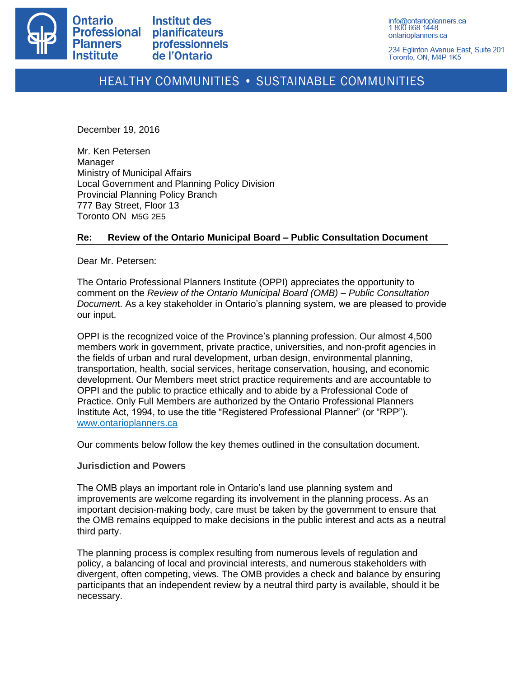

234 Eglinton Avenue East, Suite 201 Toronto, ON, M4P 1K5

# HEALTHY COMMUNITIES . SUSTAINABLE COMMUNITIES

December 19, 2016

Mr. Ken Petersen Manager Ministry of Municipal Affairs Local Government and Planning Policy Division Provincial Planning Policy Branch 777 Bay Street, Floor 13 Toronto ON M5G 2E5

# **Re: Review of the Ontario Municipal Board – Public Consultation Document**

Dear Mr. Petersen:

The Ontario Professional Planners Institute (OPPI) appreciates the opportunity to comment on the *Review of the Ontario Municipal Board (OMB) – Public Consultation Documen*t. As a key stakeholder in Ontario's planning system, we are pleased to provide our input.

OPPI is the recognized voice of the Province's planning profession. Our almost 4,500 members work in government, private practice, universities, and non-profit agencies in the fields of urban and rural development, urban design, environmental planning, transportation, health, social services, heritage conservation, housing, and economic development. Our Members meet strict practice requirements and are accountable to OPPI and the public to practice ethically and to abide by a Professional Code of Practice. Only Full Members are authorized by the Ontario Professional Planners Institute Act, 1994, to use the title "Registered Professional Planner" (or "RPP"). [www.ontarioplanners.ca](http://www.ontarioplanners.ca/)

Our comments below follow the key themes outlined in the consultation document.

## **Jurisdiction and Powers**

The OMB plays an important role in Ontario's land use planning system and improvements are welcome regarding its involvement in the planning process. As an important decision-making body, care must be taken by the government to ensure that the OMB remains equipped to make decisions in the public interest and acts as a neutral third party.

The planning process is complex resulting from numerous levels of regulation and policy, a balancing of local and provincial interests, and numerous stakeholders with divergent, often competing, views. The OMB provides a check and balance by ensuring participants that an independent review by a neutral third party is available, should it be necessary.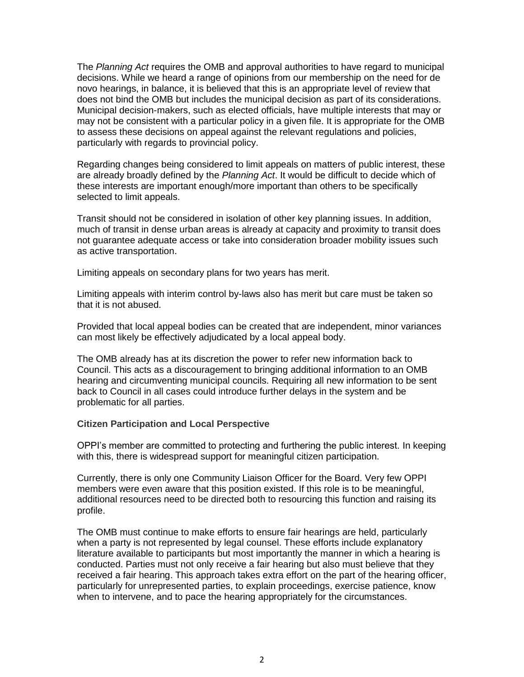The *Planning Act* requires the OMB and approval authorities to have regard to municipal decisions. While we heard a range of opinions from our membership on the need for de novo hearings, in balance, it is believed that this is an appropriate level of review that does not bind the OMB but includes the municipal decision as part of its considerations. Municipal decision-makers, such as elected officials, have multiple interests that may or may not be consistent with a particular policy in a given file. It is appropriate for the OMB to assess these decisions on appeal against the relevant regulations and policies, particularly with regards to provincial policy.

Regarding changes being considered to limit appeals on matters of public interest, these are already broadly defined by the *Planning Act*. It would be difficult to decide which of these interests are important enough/more important than others to be specifically selected to limit appeals.

Transit should not be considered in isolation of other key planning issues. In addition, much of transit in dense urban areas is already at capacity and proximity to transit does not guarantee adequate access or take into consideration broader mobility issues such as active transportation.

Limiting appeals on secondary plans for two years has merit.

Limiting appeals with interim control by-laws also has merit but care must be taken so that it is not abused.

Provided that local appeal bodies can be created that are independent, minor variances can most likely be effectively adjudicated by a local appeal body.

The OMB already has at its discretion the power to refer new information back to Council. This acts as a discouragement to bringing additional information to an OMB hearing and circumventing municipal councils. Requiring all new information to be sent back to Council in all cases could introduce further delays in the system and be problematic for all parties.

## **Citizen Participation and Local Perspective**

OPPI's member are committed to protecting and furthering the public interest. In keeping with this, there is widespread support for meaningful citizen participation.

Currently, there is only one Community Liaison Officer for the Board. Very few OPPI members were even aware that this position existed. If this role is to be meaningful, additional resources need to be directed both to resourcing this function and raising its profile.

The OMB must continue to make efforts to ensure fair hearings are held, particularly when a party is not represented by legal counsel. These efforts include explanatory literature available to participants but most importantly the manner in which a hearing is conducted. Parties must not only receive a fair hearing but also must believe that they received a fair hearing. This approach takes extra effort on the part of the hearing officer, particularly for unrepresented parties, to explain proceedings, exercise patience, know when to intervene, and to pace the hearing appropriately for the circumstances.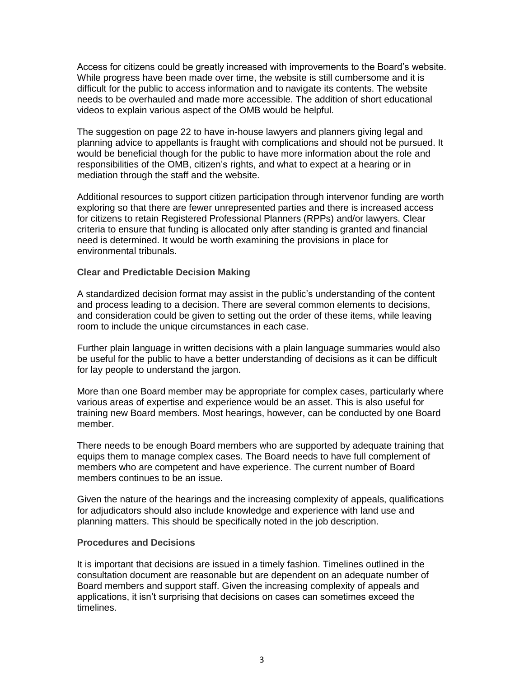Access for citizens could be greatly increased with improvements to the Board's website. While progress have been made over time, the website is still cumbersome and it is difficult for the public to access information and to navigate its contents. The website needs to be overhauled and made more accessible. The addition of short educational videos to explain various aspect of the OMB would be helpful.

The suggestion on page 22 to have in-house lawyers and planners giving legal and planning advice to appellants is fraught with complications and should not be pursued. It would be beneficial though for the public to have more information about the role and responsibilities of the OMB, citizen's rights, and what to expect at a hearing or in mediation through the staff and the website.

Additional resources to support citizen participation through intervenor funding are worth exploring so that there are fewer unrepresented parties and there is increased access for citizens to retain Registered Professional Planners (RPPs) and/or lawyers. Clear criteria to ensure that funding is allocated only after standing is granted and financial need is determined. It would be worth examining the provisions in place for environmental tribunals.

#### **Clear and Predictable Decision Making**

A standardized decision format may assist in the public's understanding of the content and process leading to a decision. There are several common elements to decisions, and consideration could be given to setting out the order of these items, while leaving room to include the unique circumstances in each case.

Further plain language in written decisions with a plain language summaries would also be useful for the public to have a better understanding of decisions as it can be difficult for lay people to understand the jargon.

More than one Board member may be appropriate for complex cases, particularly where various areas of expertise and experience would be an asset. This is also useful for training new Board members. Most hearings, however, can be conducted by one Board member.

There needs to be enough Board members who are supported by adequate training that equips them to manage complex cases. The Board needs to have full complement of members who are competent and have experience. The current number of Board members continues to be an issue.

Given the nature of the hearings and the increasing complexity of appeals, qualifications for adjudicators should also include knowledge and experience with land use and planning matters. This should be specifically noted in the job description.

#### **Procedures and Decisions**

It is important that decisions are issued in a timely fashion. Timelines outlined in the consultation document are reasonable but are dependent on an adequate number of Board members and support staff. Given the increasing complexity of appeals and applications, it isn't surprising that decisions on cases can sometimes exceed the timelines.